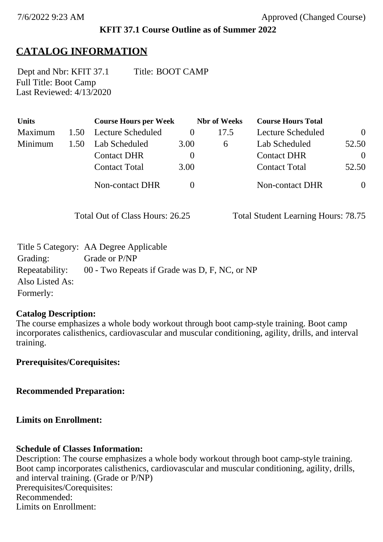### **KFIT 37.1 Course Outline as of Summer 2022**

# **CATALOG INFORMATION**

Full Title: Boot Camp Last Reviewed: 4/13/2020 Dept and Nbr: KFIT 37.1 Title: BOOT CAMP

| <b>Units</b>   |      | <b>Course Hours per Week</b> |          | <b>Nbr</b> of Weeks | <b>Course Hours Total</b> |                |
|----------------|------|------------------------------|----------|---------------------|---------------------------|----------------|
| <b>Maximum</b> | 1.50 | <b>Lecture Scheduled</b>     |          | 17.5                | Lecture Scheduled         | $\Omega$       |
| Minimum        | 1.50 | Lab Scheduled                | 3.00     | $\sigma$            | Lab Scheduled             | 52.50          |
|                |      | <b>Contact DHR</b>           | $\theta$ |                     | <b>Contact DHR</b>        | $\theta$       |
|                |      | <b>Contact Total</b>         | 3.00     |                     | <b>Contact Total</b>      | 52.50          |
|                |      | <b>Non-contact DHR</b>       |          |                     | <b>Non-contact DHR</b>    | $\overline{0}$ |

Total Out of Class Hours: 26.25 Total Student Learning Hours: 78.75

|                 | Title 5 Category: AA Degree Applicable        |
|-----------------|-----------------------------------------------|
| Grading:        | Grade or P/NP                                 |
| Repeatability:  | 00 - Two Repeats if Grade was D, F, NC, or NP |
| Also Listed As: |                                               |
| Formerly:       |                                               |

### **Catalog Description:**

The course emphasizes a whole body workout through boot camp-style training. Boot camp incorporates calisthenics, cardiovascular and muscular conditioning, agility, drills, and interval training.

**Prerequisites/Corequisites:**

**Recommended Preparation:**

**Limits on Enrollment:**

### **Schedule of Classes Information:**

Description: The course emphasizes a whole body workout through boot camp-style training. Boot camp incorporates calisthenics, cardiovascular and muscular conditioning, agility, drills, and interval training. (Grade or P/NP) Prerequisites/Corequisites: Recommended: Limits on Enrollment: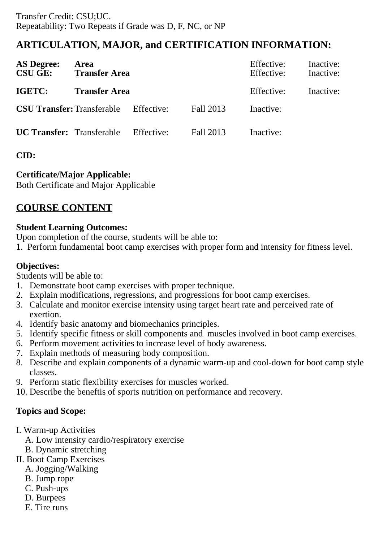## **ARTICULATION, MAJOR, and CERTIFICATION INFORMATION:**

| <b>AS Degree:</b><br><b>CSU GE:</b> | Area<br><b>Transfer Area</b> |            | Effective:<br>Effective: | Inactive:<br>Inactive: |  |
|-------------------------------------|------------------------------|------------|--------------------------|------------------------|--|
| <b>IGETC:</b>                       | <b>Transfer Area</b>         |            | Effective:               | Inactive:              |  |
| <b>CSU Transfer: Transferable</b>   |                              | Effective: | Fall 2013                | Inactive:              |  |
| <b>UC Transfer:</b> Transferable    |                              | Effective: | Fall 2013                | Inactive:              |  |

### **CID:**

### **Certificate/Major Applicable:**

[Both Certificate and Major Applicable](SR_ClassCheck.aspx?CourseKey=KFIT37.1)

# **COURSE CONTENT**

#### **Student Learning Outcomes:**

Upon completion of the course, students will be able to:

1. Perform fundamental boot camp exercises with proper form and intensity for fitness level.

### **Objectives:**

Students will be able to:

- 1. Demonstrate boot camp exercises with proper technique.
- 2. Explain modifications, regressions, and progressions for boot camp exercises.
- 3. Calculate and monitor exercise intensity using target heart rate and perceived rate of exertion.
- 4. Identify basic anatomy and biomechanics principles.
- 5. Identify specific fitness or skill components and muscles involved in boot camp exercises.
- 6. Perform movement activities to increase level of body awareness.
- 7. Explain methods of measuring body composition.
- 8. Describe and explain components of a dynamic warm-up and cool-down for boot camp style classes.
- 9. Perform static flexibility exercises for muscles worked.
- 10. Describe the beneftis of sports nutrition on performance and recovery.

### **Topics and Scope:**

- I. Warm-up Activities
	- A. Low intensity cardio/respiratory exercise
	- B. Dynamic stretching
- II. Boot Camp Exercises
	- A. Jogging/Walking
	- B. Jump rope
	- C. Push-ups
	- D. Burpees
	- E. Tire runs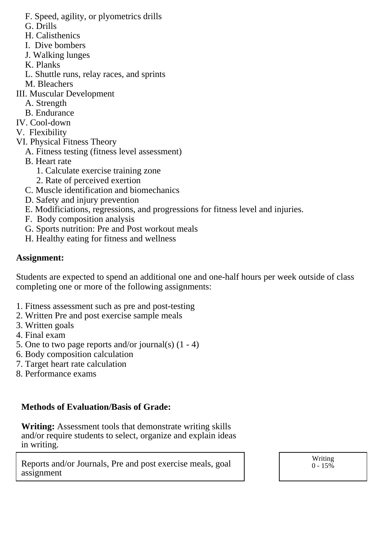- F. Speed, agility, or plyometrics drills
- G. Drills
- H. Calisthenics
- I. Dive bombers
- J. Walking lunges
- K. Planks
- L. Shuttle runs, relay races, and sprints
- M. Bleachers
- III. Muscular Development
	- A. Strength
	- B. Endurance
- IV. Cool-down
- V. Flexibility
- VI. Physical Fitness Theory
	- A. Fitness testing (fitness level assessment)
	- B. Heart rate
		- 1. Calculate exercise training zone
		- 2. Rate of perceived exertion
	- C. Muscle identification and biomechanics
	- D. Safety and injury prevention
	- E. Modificiations, regressions, and progressions for fitness level and injuries.
	- F. Body composition analysis
	- G. Sports nutrition: Pre and Post workout meals
	- H. Healthy eating for fitness and wellness

### **Assignment:**

Students are expected to spend an additional one and one-half hours per week outside of class completing one or more of the following assignments:

- 1. Fitness assessment such as pre and post-testing
- 2. Written Pre and post exercise sample meals
- 3. Written goals
- 4. Final exam
- 5. One to two page reports and/or journal(s) (1 4)
- 6. Body composition calculation
- 7. Target heart rate calculation
- 8. Performance exams

### **Methods of Evaluation/Basis of Grade:**

**Writing:** Assessment tools that demonstrate writing skills and/or require students to select, organize and explain ideas in writing.

Reports and/or Journals, Pre and post exercise meals, goal assignment

Writing  $0 - 15\%$